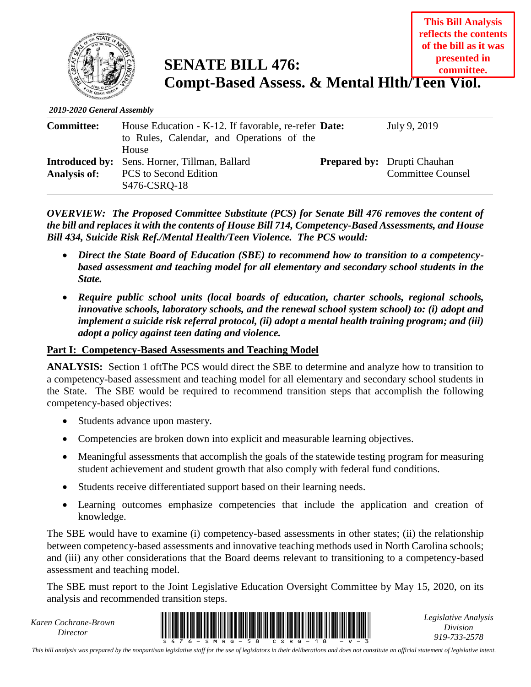

**SENATE BILL 476: Compt-Based Assess. & Mental Hlth/Teen Viol. presented in committee.**

*2019-2020 General Assembly*

| <b>Committee:</b>   | House Education - K-12. If favorable, re-refer Date:<br>to Rules, Calendar, and Operations of the<br>House | July 9, 2019                                                   |
|---------------------|------------------------------------------------------------------------------------------------------------|----------------------------------------------------------------|
| <b>Analysis of:</b> | <b>Introduced by:</b> Sens. Horner, Tillman, Ballard<br><b>PCS</b> to Second Edition<br>S476-CSRQ-18       | <b>Prepared by:</b> Drupti Chauhan<br><b>Committee Counsel</b> |

*OVERVIEW: The Proposed Committee Substitute (PCS) for Senate Bill 476 removes the content of the bill and replaces it with the contents of House Bill 714, Competency-Based Assessments, and House Bill 434, Suicide Risk Ref./Mental Health/Teen Violence. The PCS would:*

- *Direct the State Board of Education (SBE) to recommend how to transition to a competencybased assessment and teaching model for all elementary and secondary school students in the State.*
- *Require public school units (local boards of education, charter schools, regional schools, innovative schools, laboratory schools, and the renewal school system school) to: (i) adopt and implement a suicide risk referral protocol, (ii) adopt a mental health training program; and (iii) adopt a policy against teen dating and violence.*

#### **Part I: Competency-Based Assessments and Teaching Model**

**ANALYSIS:** Section 1 oftThe PCS would direct the SBE to determine and analyze how to transition to a competency-based assessment and teaching model for all elementary and secondary school students in the State. The SBE would be required to recommend transition steps that accomplish the following competency-based objectives:

- Students advance upon mastery.
- Competencies are broken down into explicit and measurable learning objectives.
- Meaningful assessments that accomplish the goals of the statewide testing program for measuring student achievement and student growth that also comply with federal fund conditions.
- Students receive differentiated support based on their learning needs.
- Learning outcomes emphasize competencies that include the application and creation of knowledge.

The SBE would have to examine (i) competency-based assessments in other states; (ii) the relationship between competency-based assessments and innovative teaching methods used in North Carolina schools; and (iii) any other considerations that the Board deems relevant to transitioning to a competency-based assessment and teaching model.

The SBE must report to the Joint Legislative Education Oversight Committee by May 15, 2020, on its analysis and recommended transition steps.

*Karen Cochrane-Brown*



*Legislative Analysis Division 919-733-2578*

**This Bill Analysis reflects the contents of the bill as it was** 

*This bill analysis was prepared by the nonpartisan legislative staff for the use of legislators in their deliberations and does not constitute an official statement of legislative intent.*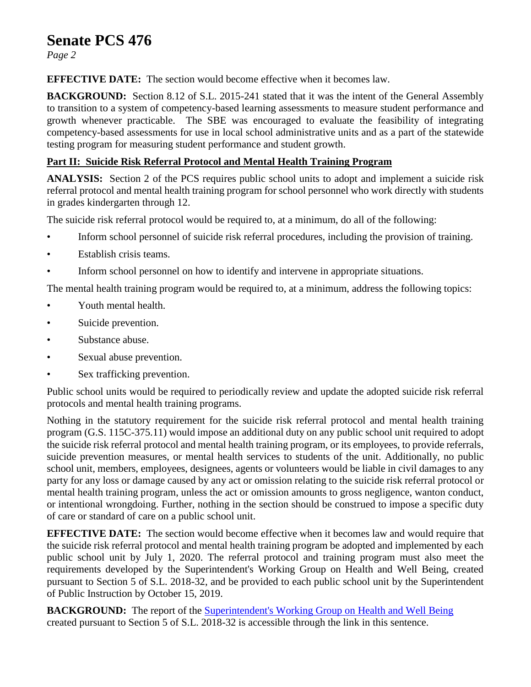# **Senate PCS 476**

*Page 2*

**EFFECTIVE DATE:** The section would become effective when it becomes law.

**BACKGROUND:** Section 8.12 of S.L. 2015-241 stated that it was the intent of the General Assembly to transition to a system of competency-based learning assessments to measure student performance and growth whenever practicable. The SBE was encouraged to evaluate the feasibility of integrating competency-based assessments for use in local school administrative units and as a part of the statewide testing program for measuring student performance and student growth.

### **Part II: Suicide Risk Referral Protocol and Mental Health Training Program**

**ANALYSIS:** Section 2 of the PCS requires public school units to adopt and implement a suicide risk referral protocol and mental health training program for school personnel who work directly with students in grades kindergarten through 12.

The suicide risk referral protocol would be required to, at a minimum, do all of the following:

- Inform school personnel of suicide risk referral procedures, including the provision of training.
- Establish crisis teams.
- Inform school personnel on how to identify and intervene in appropriate situations.

The mental health training program would be required to, at a minimum, address the following topics:

- Youth mental health.
- Suicide prevention.
- Substance abuse.
- Sexual abuse prevention.
- Sex trafficking prevention.

Public school units would be required to periodically review and update the adopted suicide risk referral protocols and mental health training programs.

Nothing in the statutory requirement for the suicide risk referral protocol and mental health training program (G.S. 115C-375.11) would impose an additional duty on any public school unit required to adopt the suicide risk referral protocol and mental health training program, or its employees, to provide referrals, suicide prevention measures, or mental health services to students of the unit. Additionally, no public school unit, members, employees, designees, agents or volunteers would be liable in civil damages to any party for any loss or damage caused by any act or omission relating to the suicide risk referral protocol or mental health training program, unless the act or omission amounts to gross negligence, wanton conduct, or intentional wrongdoing. Further, nothing in the section should be construed to impose a specific duty of care or standard of care on a public school unit.

**EFFECTIVE DATE:** The section would become effective when it becomes law and would require that the suicide risk referral protocol and mental health training program be adopted and implemented by each public school unit by July 1, 2020. The referral protocol and training program must also meet the requirements developed by the Superintendent's Working Group on Health and Well Being, created pursuant to Section 5 of S.L. 2018-32, and be provided to each public school unit by the Superintendent of Public Instruction by October 15, 2019.

**BACKGROUND:** The report of the [Superintendent's Working Group on Health and Well Being](https://www.ncleg.gov/documentsites/committees/JLEOC/Reports%20Received/2018%20Reports%20Received/Recommendations%20from%20Superintendent%E2%80%99s%20Working%20Group%20on%20Student%20Health%20&%20Well-Being.pdf.) created pursuant to Section 5 of S.L. 2018-32 is accessible through the link in this sentence.